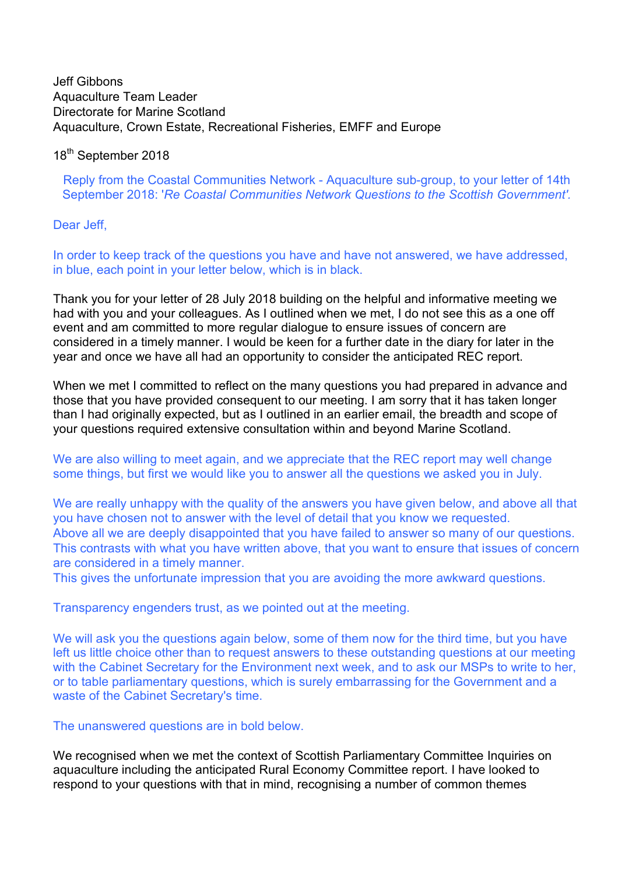# Jeff Gibbons Aquaculture Team Leader Directorate for Marine Scotland Aquaculture, Crown Estate, Recreational Fisheries, EMFF and Europe

# 18<sup>th</sup> September 2018

Reply from the Coastal Communities Network - Aquaculture sub-group, to your letter of 14th September 2018: '*Re Coastal Communities Network Questions to the Scottish Government'.*

### Dear Jeff.

In order to keep track of the questions you have and have not answered, we have addressed, in blue, each point in your letter below, which is in black.

Thank you for your letter of 28 July 2018 building on the helpful and informative meeting we had with you and your colleagues. As I outlined when we met, I do not see this as a one off event and am committed to more regular dialogue to ensure issues of concern are considered in a timely manner. I would be keen for a further date in the diary for later in the year and once we have all had an opportunity to consider the anticipated REC report.

When we met I committed to reflect on the many questions you had prepared in advance and those that you have provided consequent to our meeting. I am sorry that it has taken longer than I had originally expected, but as I outlined in an earlier email, the breadth and scope of your questions required extensive consultation within and beyond Marine Scotland.

We are also willing to meet again, and we appreciate that the REC report may well change some things, but first we would like you to answer all the questions we asked you in July.

We are really unhappy with the quality of the answers you have given below, and above all that you have chosen not to answer with the level of detail that you know we requested. Above all we are deeply disappointed that you have failed to answer so many of our questions. This contrasts with what you have written above, that you want to ensure that issues of concern are considered in a timely manner.

This gives the unfortunate impression that you are avoiding the more awkward questions.

Transparency engenders trust, as we pointed out at the meeting.

We will ask you the questions again below, some of them now for the third time, but you have left us little choice other than to request answers to these outstanding questions at our meeting with the Cabinet Secretary for the Environment next week, and to ask our MSPs to write to her, or to table parliamentary questions, which is surely embarrassing for the Government and a waste of the Cabinet Secretary's time.

# The unanswered questions are in bold below.

We recognised when we met the context of Scottish Parliamentary Committee Inquiries on aquaculture including the anticipated Rural Economy Committee report. I have looked to respond to your questions with that in mind, recognising a number of common themes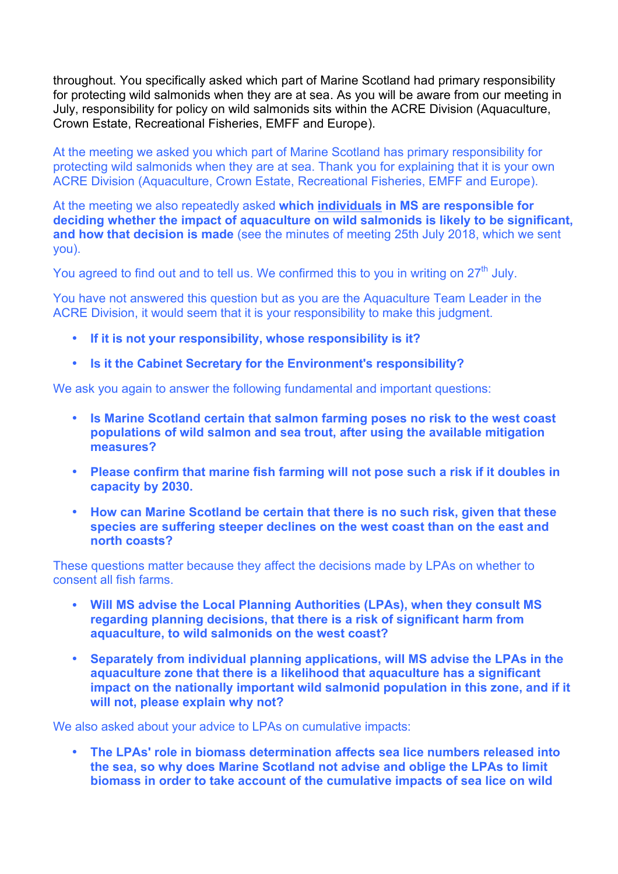throughout. You specifically asked which part of Marine Scotland had primary responsibility for protecting wild salmonids when they are at sea. As you will be aware from our meeting in July, responsibility for policy on wild salmonids sits within the ACRE Division (Aquaculture, Crown Estate, Recreational Fisheries, EMFF and Europe).

At the meeting we asked you which part of Marine Scotland has primary responsibility for protecting wild salmonids when they are at sea. Thank you for explaining that it is your own ACRE Division (Aquaculture, Crown Estate, Recreational Fisheries, EMFF and Europe).

At the meeting we also repeatedly asked **which individuals in MS are responsible for deciding whether the impact of aquaculture on wild salmonids is likely to be significant, and how that decision is made** (see the minutes of meeting 25th July 2018, which we sent you).

You agreed to find out and to tell us. We confirmed this to you in writing on  $27<sup>th</sup>$  July.

You have not answered this question but as you are the Aquaculture Team Leader in the ACRE Division, it would seem that it is your responsibility to make this judgment.

- **If it is not your responsibility, whose responsibility is it?**
- **Is it the Cabinet Secretary for the Environment's responsibility?**

We ask you again to answer the following fundamental and important questions:

- **Is Marine Scotland certain that salmon farming poses no risk to the west coast populations of wild salmon and sea trout, after using the available mitigation measures?**
- **Please confirm that marine fish farming will not pose such a risk if it doubles in capacity by 2030.**
- **How can Marine Scotland be certain that there is no such risk, given that these species are suffering steeper declines on the west coast than on the east and north coasts?**

These questions matter because they affect the decisions made by LPAs on whether to consent all fish farms.

- **Will MS advise the Local Planning Authorities (LPAs), when they consult MS regarding planning decisions, that there is a risk of significant harm from aquaculture, to wild salmonids on the west coast?**
- **Separately from individual planning applications, will MS advise the LPAs in the aquaculture zone that there is a likelihood that aquaculture has a significant impact on the nationally important wild salmonid population in this zone, and if it will not, please explain why not?**

We also asked about your advice to LPAs on cumulative impacts:

• **The LPAs' role in biomass determination affects sea lice numbers released into the sea, so why does Marine Scotland not advise and oblige the LPAs to limit biomass in order to take account of the cumulative impacts of sea lice on wild**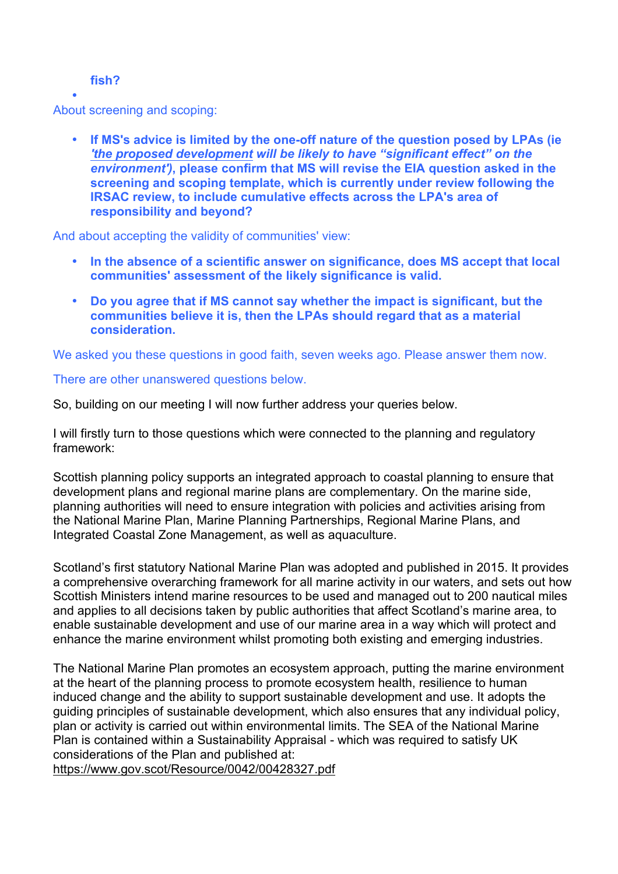### **fish?**

• About screening and scoping:

> • **If MS's advice is limited by the one-off nature of the question posed by LPAs (ie**  *'the proposed development will be likely to have "significant effect" on the environment')***, please confirm that MS will revise the EIA question asked in the screening and scoping template, which is currently under review following the IRSAC review, to include cumulative effects across the LPA's area of responsibility and beyond?**

And about accepting the validity of communities' view:

- **In the absence of a scientific answer on significance, does MS accept that local communities' assessment of the likely significance is valid.**
- **Do you agree that if MS cannot say whether the impact is significant, but the communities believe it is, then the LPAs should regard that as a material consideration.**

We asked you these questions in good faith, seven weeks ago. Please answer them now.

# There are other unanswered questions below.

So, building on our meeting I will now further address your queries below.

I will firstly turn to those questions which were connected to the planning and regulatory framework:

Scottish planning policy supports an integrated approach to coastal planning to ensure that development plans and regional marine plans are complementary. On the marine side, planning authorities will need to ensure integration with policies and activities arising from the National Marine Plan, Marine Planning Partnerships, Regional Marine Plans, and Integrated Coastal Zone Management, as well as aquaculture.

Scotland's first statutory National Marine Plan was adopted and published in 2015. It provides a comprehensive overarching framework for all marine activity in our waters, and sets out how Scottish Ministers intend marine resources to be used and managed out to 200 nautical miles and applies to all decisions taken by public authorities that affect Scotland's marine area, to enable sustainable development and use of our marine area in a way which will protect and enhance the marine environment whilst promoting both existing and emerging industries.

The National Marine Plan promotes an ecosystem approach, putting the marine environment at the heart of the planning process to promote ecosystem health, resilience to human induced change and the ability to support sustainable development and use. It adopts the guiding principles of sustainable development, which also ensures that any individual policy, plan or activity is carried out within environmental limits. The SEA of the National Marine Plan is contained within a Sustainability Appraisal - which was required to satisfy UK considerations of the Plan and published at:

https://www.gov.scot/Resource/0042/00428327.pdf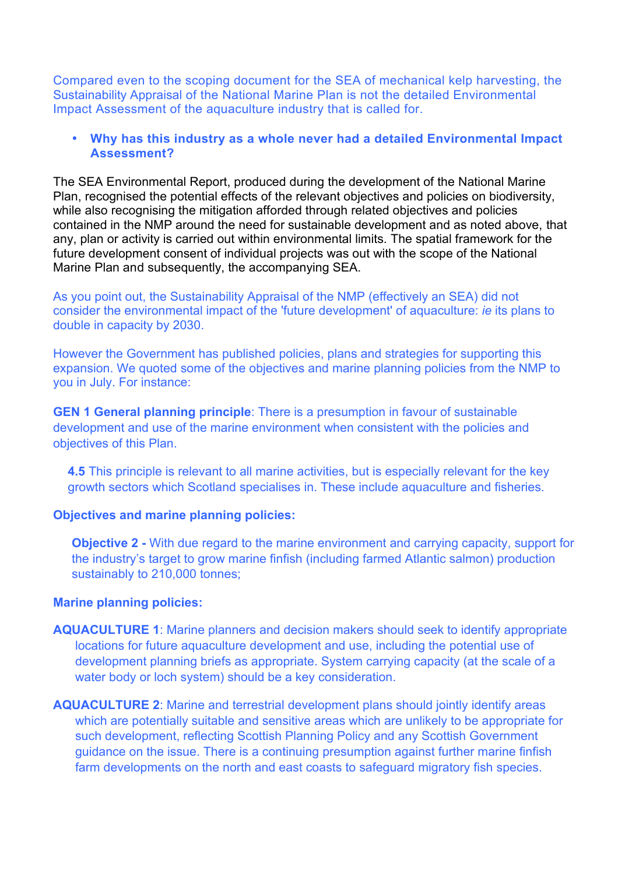Compared even to the scoping document for the SEA of mechanical kelp harvesting, the Sustainability Appraisal of the National Marine Plan is not the detailed Environmental Impact Assessment of the aquaculture industry that is called for.

### • **Why has this industry as a whole never had a detailed Environmental Impact Assessment?**

The SEA Environmental Report, produced during the development of the National Marine Plan, recognised the potential effects of the relevant objectives and policies on biodiversity, while also recognising the mitigation afforded through related objectives and policies contained in the NMP around the need for sustainable development and as noted above, that any, plan or activity is carried out within environmental limits. The spatial framework for the future development consent of individual projects was out with the scope of the National Marine Plan and subsequently, the accompanying SEA.

As you point out, the Sustainability Appraisal of the NMP (effectively an SEA) did not consider the environmental impact of the 'future development' of aquaculture: *ie* its plans to double in capacity by 2030.

However the Government has published policies, plans and strategies for supporting this expansion. We quoted some of the objectives and marine planning policies from the NMP to you in July. For instance:

**GEN 1 General planning principle**: There is a presumption in favour of sustainable development and use of the marine environment when consistent with the policies and objectives of this Plan.

**4.5** This principle is relevant to all marine activities, but is especially relevant for the key growth sectors which Scotland specialises in. These include aquaculture and fisheries.

### **Objectives and marine planning policies:**

**Objective 2 -** With due regard to the marine environment and carrying capacity, support for the industry's target to grow marine finfish (including farmed Atlantic salmon) production sustainably to 210,000 tonnes;

#### **Marine planning policies:**

- **AQUACULTURE 1**: Marine planners and decision makers should seek to identify appropriate locations for future aquaculture development and use, including the potential use of development planning briefs as appropriate. System carrying capacity (at the scale of a water body or loch system) should be a key consideration.
- **AQUACULTURE 2**: Marine and terrestrial development plans should jointly identify areas which are potentially suitable and sensitive areas which are unlikely to be appropriate for such development, reflecting Scottish Planning Policy and any Scottish Government guidance on the issue. There is a continuing presumption against further marine finfish farm developments on the north and east coasts to safeguard migratory fish species.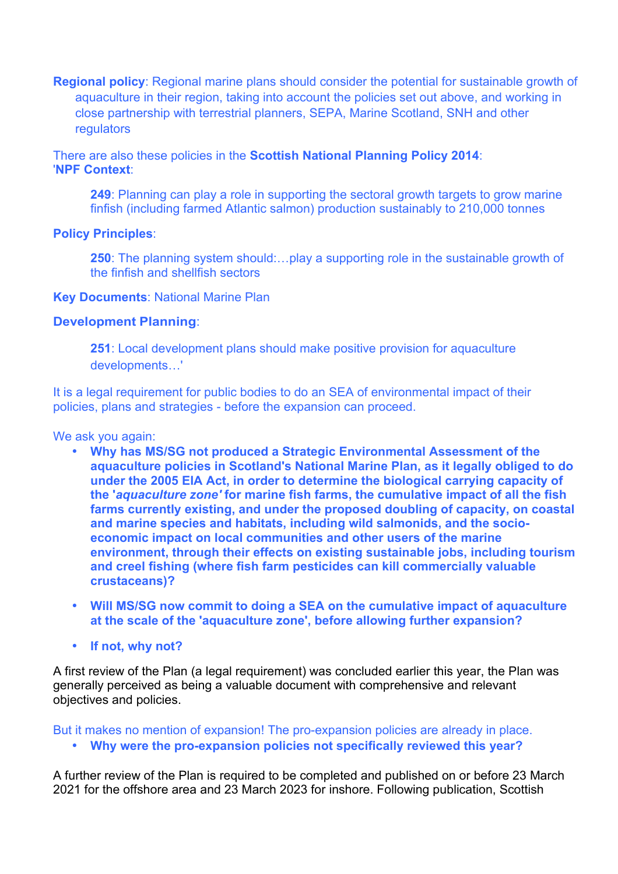**Regional policy**: Regional marine plans should consider the potential for sustainable growth of aquaculture in their region, taking into account the policies set out above, and working in close partnership with terrestrial planners, SEPA, Marine Scotland, SNH and other regulators

There are also these policies in the **Scottish National Planning Policy 2014**: '**NPF Context**:

**249**: Planning can play a role in supporting the sectoral growth targets to grow marine finfish (including farmed Atlantic salmon) production sustainably to 210,000 tonnes

### **Policy Principles**:

**250**: The planning system should:…play a supporting role in the sustainable growth of the finfish and shellfish sectors

#### **Key Documents**: National Marine Plan

### **Development Planning**:

**251**: Local development plans should make positive provision for aquaculture developments…'

It is a legal requirement for public bodies to do an SEA of environmental impact of their policies, plans and strategies - before the expansion can proceed.

We ask you again:

- **Why has MS/SG not produced a Strategic Environmental Assessment of the aquaculture policies in Scotland's National Marine Plan, as it legally obliged to do under the 2005 EIA Act, in order to determine the biological carrying capacity of the '***aquaculture zone'* **for marine fish farms, the cumulative impact of all the fish farms currently existing, and under the proposed doubling of capacity, on coastal and marine species and habitats, including wild salmonids, and the socioeconomic impact on local communities and other users of the marine environment, through their effects on existing sustainable jobs, including tourism and creel fishing (where fish farm pesticides can kill commercially valuable crustaceans)?**
- **Will MS/SG now commit to doing a SEA on the cumulative impact of aquaculture at the scale of the 'aquaculture zone', before allowing further expansion?**
- **If not, why not?**

A first review of the Plan (a legal requirement) was concluded earlier this year, the Plan was generally perceived as being a valuable document with comprehensive and relevant objectives and policies.

But it makes no mention of expansion! The pro-expansion policies are already in place.

• **Why were the pro-expansion policies not specifically reviewed this year?**

A further review of the Plan is required to be completed and published on or before 23 March 2021 for the offshore area and 23 March 2023 for inshore. Following publication, Scottish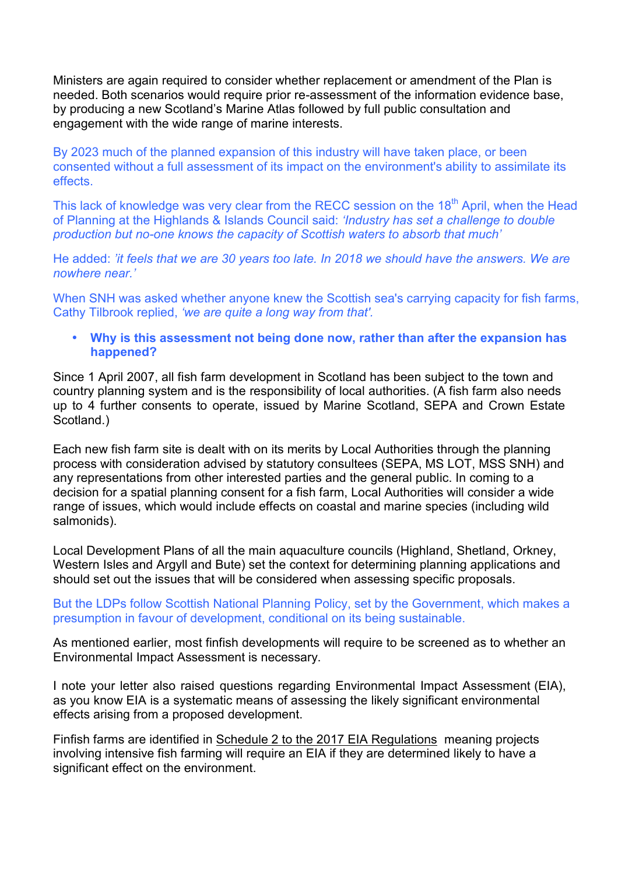Ministers are again required to consider whether replacement or amendment of the Plan is needed. Both scenarios would require prior re-assessment of the information evidence base, by producing a new Scotland's Marine Atlas followed by full public consultation and engagement with the wide range of marine interests.

By 2023 much of the planned expansion of this industry will have taken place, or been consented without a full assessment of its impact on the environment's ability to assimilate its effects.

This lack of knowledge was very clear from the RECC session on the 18<sup>th</sup> April, when the Head of Planning at the Highlands & Islands Council said: *'Industry has set a challenge to double production but no-one knows the capacity of Scottish waters to absorb that much'*

He added: *'it feels that we are 30 years too late. In 2018 we should have the answers. We are nowhere near.'*

When SNH was asked whether anyone knew the Scottish sea's carrying capacity for fish farms, Cathy Tilbrook replied, *'we are quite a long way from that'.*

• **Why is this assessment not being done now, rather than after the expansion has happened?**

Since 1 April 2007, all fish farm development in Scotland has been subject to the town and country planning system and is the responsibility of local authorities. (A fish farm also needs up to 4 further consents to operate, issued by Marine Scotland, SEPA and Crown Estate Scotland.)

Each new fish farm site is dealt with on its merits by Local Authorities through the planning process with consideration advised by statutory consultees (SEPA, MS LOT, MSS SNH) and any representations from other interested parties and the general public. In coming to a decision for a spatial planning consent for a fish farm, Local Authorities will consider a wide range of issues, which would include effects on coastal and marine species (including wild salmonids).

Local Development Plans of all the main aquaculture councils (Highland, Shetland, Orkney, Western Isles and Argyll and Bute) set the context for determining planning applications and should set out the issues that will be considered when assessing specific proposals.

But the LDPs follow Scottish National Planning Policy, set by the Government, which makes a presumption in favour of development, conditional on its being sustainable.

As mentioned earlier, most finfish developments will require to be screened as to whether an Environmental Impact Assessment is necessary.

I note your letter also raised questions regarding Environmental Impact Assessment (EIA), as you know EIA is a systematic means of assessing the likely significant environmental effects arising from a proposed development.

Finfish farms are identified in Schedule 2 to the 2017 EIA Regulations meaning projects involving intensive fish farming will require an EIA if they are determined likely to have a significant effect on the environment.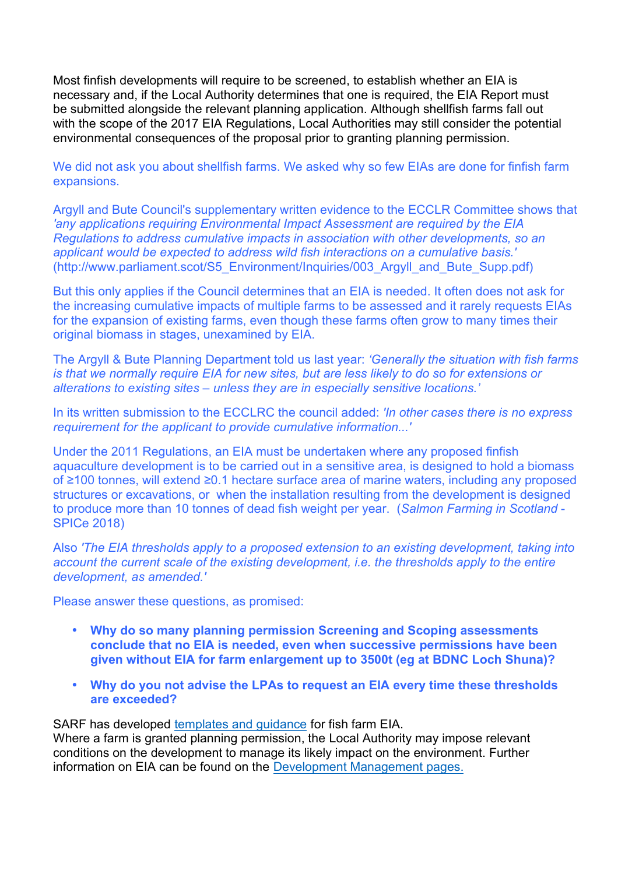Most finfish developments will require to be screened, to establish whether an EIA is necessary and, if the Local Authority determines that one is required, the EIA Report must be submitted alongside the relevant planning application. Although shellfish farms fall out with the scope of the 2017 EIA Regulations, Local Authorities may still consider the potential environmental consequences of the proposal prior to granting planning permission.

We did not ask you about shellfish farms. We asked why so few EIAs are done for finfish farm expansions.

Argyll and Bute Council's supplementary written evidence to the ECCLR Committee shows that *'any applications requiring Environmental Impact Assessment are required by the EIA Regulations to address cumulative impacts in association with other developments, so an applicant would be expected to address wild fish interactions on a cumulative basis.'*  (http://www.parliament.scot/S5\_Environment/Inquiries/003\_Argyll\_and\_Bute\_Supp.pdf)

But this only applies if the Council determines that an EIA is needed. It often does not ask for the increasing cumulative impacts of multiple farms to be assessed and it rarely requests EIAs for the expansion of existing farms, even though these farms often grow to many times their original biomass in stages, unexamined by EIA.

The Argyll & Bute Planning Department told us last year: *'Generally the situation with fish farms is that we normally require EIA for new sites, but are less likely to do so for extensions or alterations to existing sites – unless they are in especially sensitive locations.'* 

In its written submission to the ECCLRC the council added: *'In other cases there is no express requirement for the applicant to provide cumulative information...'*

Under the 2011 Regulations, an EIA must be undertaken where any proposed finfish aquaculture development is to be carried out in a sensitive area, is designed to hold a biomass of ≥100 tonnes, will extend ≥0.1 hectare surface area of marine waters, including any proposed structures or excavations, or when the installation resulting from the development is designed to produce more than 10 tonnes of dead fish weight per year. (*Salmon Farming in Scotland* - SPICe 2018)

Also *'The EIA thresholds apply to a proposed extension to an existing development, taking into account the current scale of the existing development, i.e. the thresholds apply to the entire development, as amended.'*

Please answer these questions, as promised:

- **Why do so many planning permission Screening and Scoping assessments conclude that no EIA is needed, even when successive permissions have been given without EIA for farm enlargement up to 3500t (eg at BDNC Loch Shuna)?**
- **Why do you not advise the LPAs to request an EIA every time these thresholds are exceeded?**

SARF has developed templates and quidance for fish farm EIA.

Where a farm is granted planning permission, the Local Authority may impose relevant conditions on the development to manage its likely impact on the environment. Further information on EIA can be found on the Development Management pages.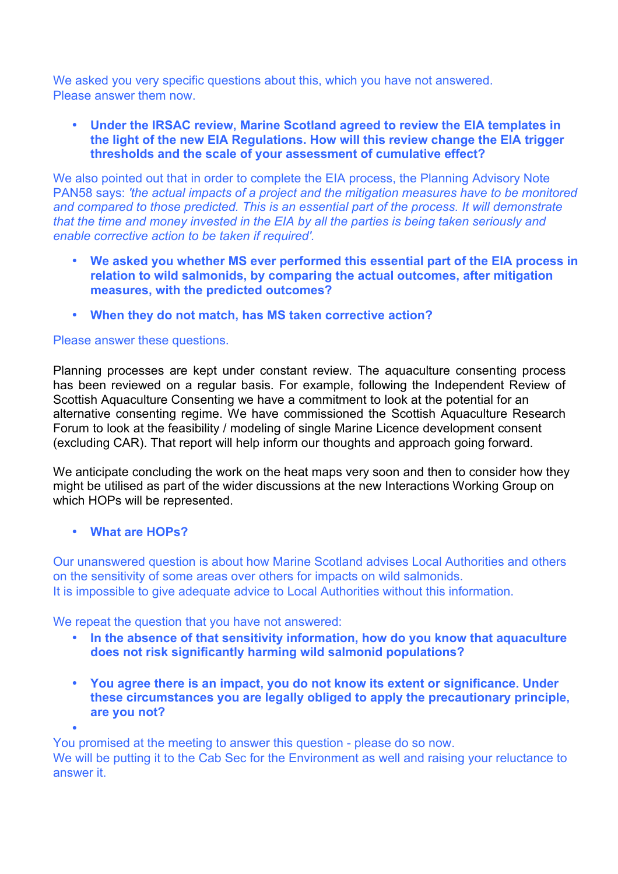We asked you very specific questions about this, which you have not answered. Please answer them now.

• **Under the IRSAC review, Marine Scotland agreed to review the EIA templates in the light of the new EIA Regulations. How will this review change the EIA trigger thresholds and the scale of your assessment of cumulative effect?** 

We also pointed out that in order to complete the EIA process, the Planning Advisory Note PAN58 says: *'the actual impacts of a project and the mitigation measures have to be monitored and compared to those predicted. This is an essential part of the process. It will demonstrate that the time and money invested in the EIA by all the parties is being taken seriously and enable corrective action to be taken if required'.*

- **We asked you whether MS ever performed this essential part of the EIA process in relation to wild salmonids, by comparing the actual outcomes, after mitigation measures, with the predicted outcomes?**
- **When they do not match, has MS taken corrective action?**

# Please answer these questions.

Planning processes are kept under constant review. The aquaculture consenting process has been reviewed on a regular basis. For example, following the Independent Review of Scottish Aquaculture Consenting we have a commitment to look at the potential for an alternative consenting regime. We have commissioned the Scottish Aquaculture Research Forum to look at the feasibility / modeling of single Marine Licence development consent (excluding CAR). That report will help inform our thoughts and approach going forward.

We anticipate concluding the work on the heat maps very soon and then to consider how they might be utilised as part of the wider discussions at the new Interactions Working Group on which HOPs will be represented.

### • **What are HOPs?**

•

Our unanswered question is about how Marine Scotland advises Local Authorities and others on the sensitivity of some areas over others for impacts on wild salmonids. It is impossible to give adequate advice to Local Authorities without this information.

We repeat the question that you have not answered:

- **In the absence of that sensitivity information, how do you know that aquaculture does not risk significantly harming wild salmonid populations?**
- **You agree there is an impact, you do not know its extent or significance. Under these circumstances you are legally obliged to apply the precautionary principle, are you not?**

You promised at the meeting to answer this question - please do so now.

We will be putting it to the Cab Sec for the Environment as well and raising your reluctance to answer it.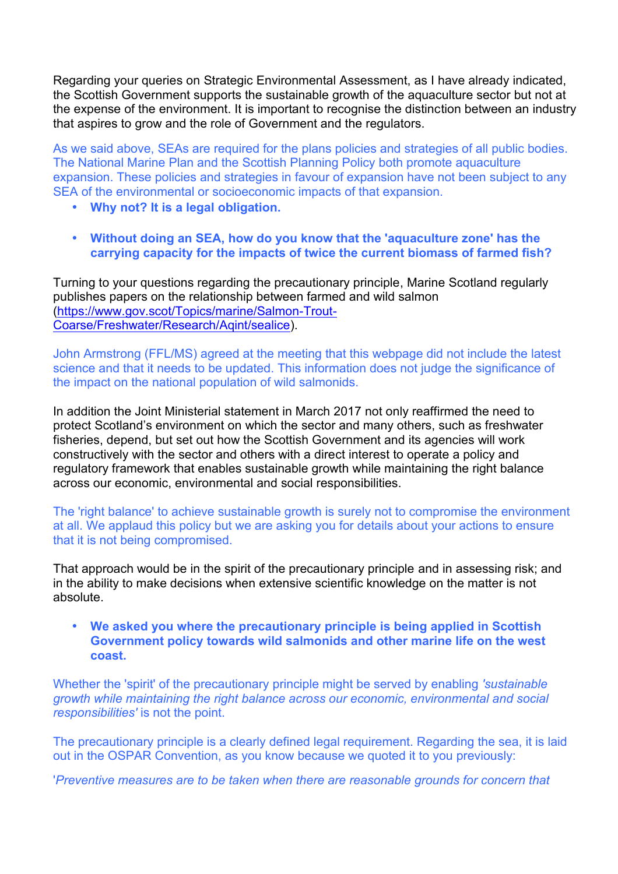Regarding your queries on Strategic Environmental Assessment, as I have already indicated, the Scottish Government supports the sustainable growth of the aquaculture sector but not at the expense of the environment. It is important to recognise the distinction between an industry that aspires to grow and the role of Government and the regulators.

As we said above, SEAs are required for the plans policies and strategies of all public bodies. The National Marine Plan and the Scottish Planning Policy both promote aquaculture expansion. These policies and strategies in favour of expansion have not been subject to any SEA of the environmental or socioeconomic impacts of that expansion.

- **Why not? It is a legal obligation.**
- **Without doing an SEA, how do you know that the 'aquaculture zone' has the carrying capacity for the impacts of twice the current biomass of farmed fish?**

Turning to your questions regarding the precautionary principle, Marine Scotland regularly publishes papers on the relationship between farmed and wild salmon (https://www.gov.scot/Topics/marine/Salmon-Trout-Coarse/Freshwater/Research/Aqint/sealice).

John Armstrong (FFL/MS) agreed at the meeting that this webpage did not include the latest science and that it needs to be updated. This information does not judge the significance of the impact on the national population of wild salmonids.

In addition the Joint Ministerial statement in March 2017 not only reaffirmed the need to protect Scotland's environment on which the sector and many others, such as freshwater fisheries, depend, but set out how the Scottish Government and its agencies will work constructively with the sector and others with a direct interest to operate a policy and regulatory framework that enables sustainable growth while maintaining the right balance across our economic, environmental and social responsibilities.

The 'right balance' to achieve sustainable growth is surely not to compromise the environment at all. We applaud this policy but we are asking you for details about your actions to ensure that it is not being compromised.

That approach would be in the spirit of the precautionary principle and in assessing risk; and in the ability to make decisions when extensive scientific knowledge on the matter is not absolute.

• **We asked you where the precautionary principle is being applied in Scottish Government policy towards wild salmonids and other marine life on the west coast.**

Whether the 'spirit' of the precautionary principle might be served by enabling *'sustainable growth while maintaining the right balance across our economic, environmental and social responsibilities'* is not the point.

The precautionary principle is a clearly defined legal requirement. Regarding the sea, it is laid out in the OSPAR Convention, as you know because we quoted it to you previously:

'*Preventive measures are to be taken when there are reasonable grounds for concern that*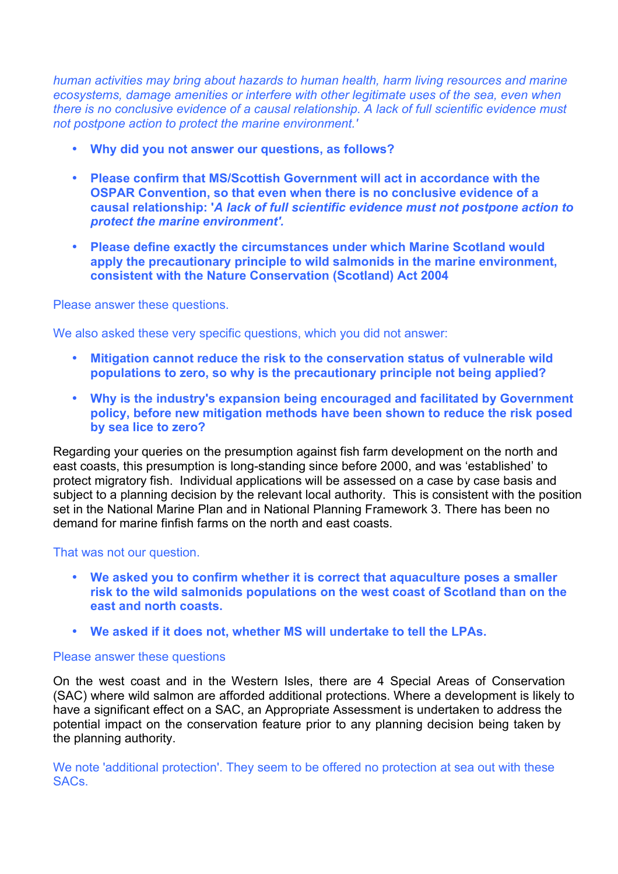*human activities may bring about hazards to human health, harm living resources and marine ecosystems, damage amenities or interfere with other legitimate uses of the sea, even when there is no conclusive evidence of a causal relationship. A lack of full scientific evidence must not postpone action to protect the marine environment.'*

- **Why did you not answer our questions, as follows?**
- **Please confirm that MS/Scottish Government will act in accordance with the OSPAR Convention, so that even when there is no conclusive evidence of a causal relationship: '***A lack of full scientific evidence must not postpone action to protect the marine environment'.*
- **Please define exactly the circumstances under which Marine Scotland would apply the precautionary principle to wild salmonids in the marine environment, consistent with the Nature Conservation (Scotland) Act 2004**

Please answer these questions.

We also asked these very specific questions, which you did not answer:

- **Mitigation cannot reduce the risk to the conservation status of vulnerable wild populations to zero, so why is the precautionary principle not being applied?**
- **Why is the industry's expansion being encouraged and facilitated by Government policy, before new mitigation methods have been shown to reduce the risk posed by sea lice to zero?**

Regarding your queries on the presumption against fish farm development on the north and east coasts, this presumption is long-standing since before 2000, and was 'established' to protect migratory fish. Individual applications will be assessed on a case by case basis and subject to a planning decision by the relevant local authority. This is consistent with the position set in the National Marine Plan and in National Planning Framework 3. There has been no demand for marine finfish farms on the north and east coasts.

That was not our question.

- **We asked you to confirm whether it is correct that aquaculture poses a smaller risk to the wild salmonids populations on the west coast of Scotland than on the east and north coasts.**
- **We asked if it does not, whether MS will undertake to tell the LPAs.**

### Please answer these questions

On the west coast and in the Western Isles, there are 4 Special Areas of Conservation (SAC) where wild salmon are afforded additional protections. Where a development is likely to have a significant effect on a SAC, an Appropriate Assessment is undertaken to address the potential impact on the conservation feature prior to any planning decision being taken by the planning authority.

We note 'additional protection'. They seem to be offered no protection at sea out with these SACs.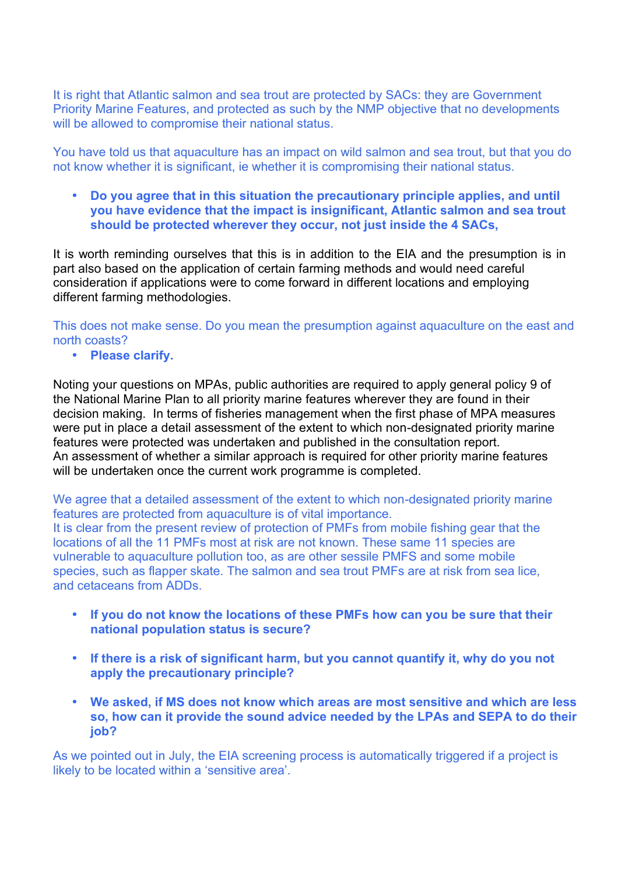It is right that Atlantic salmon and sea trout are protected by SACs: they are Government Priority Marine Features, and protected as such by the NMP objective that no developments will be allowed to compromise their national status.

You have told us that aquaculture has an impact on wild salmon and sea trout, but that you do not know whether it is significant, ie whether it is compromising their national status.

• **Do you agree that in this situation the precautionary principle applies, and until you have evidence that the impact is insignificant, Atlantic salmon and sea trout should be protected wherever they occur, not just inside the 4 SACs,** 

It is worth reminding ourselves that this is in addition to the EIA and the presumption is in part also based on the application of certain farming methods and would need careful consideration if applications were to come forward in different locations and employing different farming methodologies.

This does not make sense. Do you mean the presumption against aquaculture on the east and north coasts?

• **Please clarify.**

Noting your questions on MPAs, public authorities are required to apply general policy 9 of the National Marine Plan to all priority marine features wherever they are found in their decision making. In terms of fisheries management when the first phase of MPA measures were put in place a detail assessment of the extent to which non-designated priority marine features were protected was undertaken and published in the consultation report. An assessment of whether a similar approach is required for other priority marine features will be undertaken once the current work programme is completed.

We agree that a detailed assessment of the extent to which non-designated priority marine features are protected from aquaculture is of vital importance. It is clear from the present review of protection of PMFs from mobile fishing gear that the locations of all the 11 PMFs most at risk are not known. These same 11 species are vulnerable to aquaculture pollution too, as are other sessile PMFS and some mobile species, such as flapper skate. The salmon and sea trout PMFs are at risk from sea lice, and cetaceans from ADDs.

- **If you do not know the locations of these PMFs how can you be sure that their national population status is secure?**
- **If there is a risk of significant harm, but you cannot quantify it, why do you not apply the precautionary principle?**
- **We asked, if MS does not know which areas are most sensitive and which are less so, how can it provide the sound advice needed by the LPAs and SEPA to do their job?**

As we pointed out in July, the EIA screening process is automatically triggered if a project is likely to be located within a 'sensitive area'.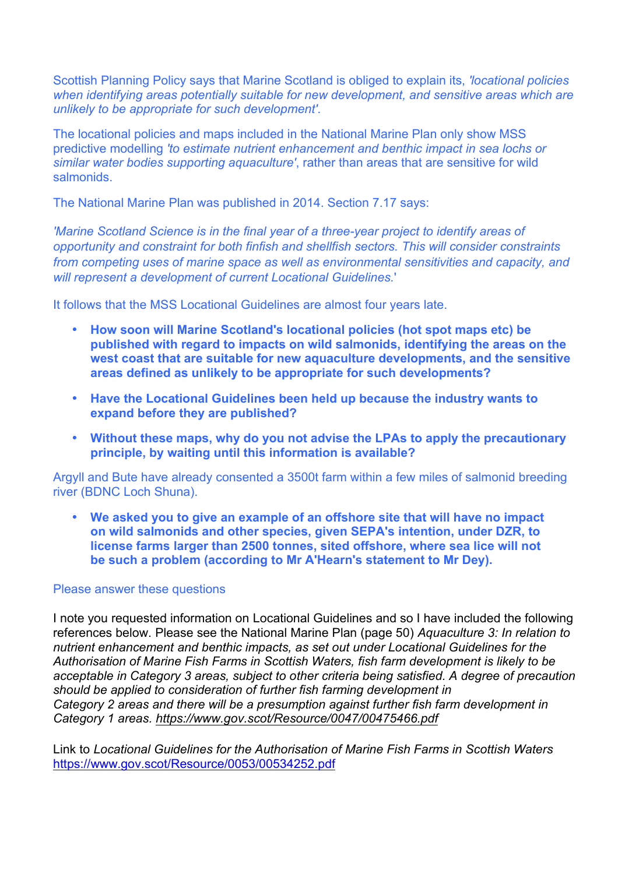Scottish Planning Policy says that Marine Scotland is obliged to explain its, *'locational policies when identifying areas potentially suitable for new development, and sensitive areas which are unlikely to be appropriate for such development'*.

The locational policies and maps included in the National Marine Plan only show MSS predictive modelling *'to estimate nutrient enhancement and benthic impact in sea lochs or similar water bodies supporting aquaculture'*, rather than areas that are sensitive for wild salmonids.

The National Marine Plan was published in 2014. Section 7.17 says:

*'Marine Scotland Science is in the final year of a three-year project to identify areas of opportunity and constraint for both finfish and shellfish sectors. This will consider constraints from competing uses of marine space as well as environmental sensitivities and capacity, and will represent a development of current Locational Guidelines.*'

It follows that the MSS Locational Guidelines are almost four years late.

- **How soon will Marine Scotland's locational policies (hot spot maps etc) be published with regard to impacts on wild salmonids, identifying the areas on the west coast that are suitable for new aquaculture developments, and the sensitive areas defined as unlikely to be appropriate for such developments?**
- **Have the Locational Guidelines been held up because the industry wants to expand before they are published?**
- **Without these maps, why do you not advise the LPAs to apply the precautionary principle, by waiting until this information is available?**

Argyll and Bute have already consented a 3500t farm within a few miles of salmonid breeding river (BDNC Loch Shuna).

• **We asked you to give an example of an offshore site that will have no impact on wild salmonids and other species, given SEPA's intention, under DZR, to license farms larger than 2500 tonnes, sited offshore, where sea lice will not be such a problem (according to Mr A'Hearn's statement to Mr Dey).**

#### Please answer these questions

I note you requested information on Locational Guidelines and so I have included the following references below. Please see the National Marine Plan (page 50) *Aquaculture 3: In relation to nutrient enhancement and benthic impacts, as set out under Locational Guidelines for the Authorisation of Marine Fish Farms in Scottish Waters, fish farm development is likely to be acceptable in Category 3 areas, subject to other criteria being satisfied. A degree of precaution should be applied to consideration of further fish farming development in Category 2 areas and there will be a presumption against further fish farm development in Category 1 areas. https://www.gov.scot/Resource/0047/00475466.pdf*

Link to *Locational Guidelines for the Authorisation of Marine Fish Farms in Scottish Waters* https://www.gov.scot/Resource/0053/00534252.pdf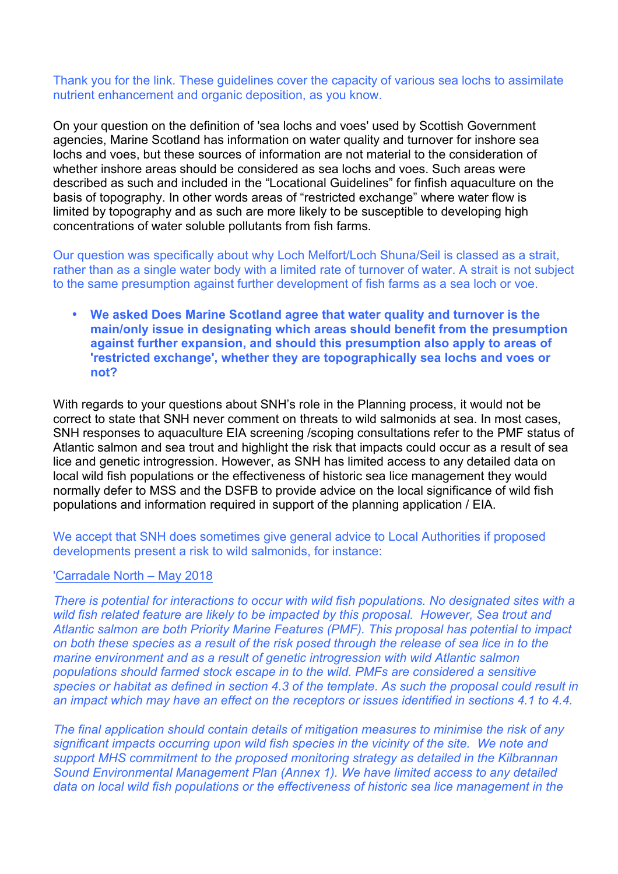Thank you for the link. These guidelines cover the capacity of various sea lochs to assimilate nutrient enhancement and organic deposition, as you know.

On your question on the definition of 'sea lochs and voes' used by Scottish Government agencies, Marine Scotland has information on water quality and turnover for inshore sea lochs and voes, but these sources of information are not material to the consideration of whether inshore areas should be considered as sea lochs and voes. Such areas were described as such and included in the "Locational Guidelines" for finfish aquaculture on the basis of topography. In other words areas of "restricted exchange" where water flow is limited by topography and as such are more likely to be susceptible to developing high concentrations of water soluble pollutants from fish farms.

Our question was specifically about why Loch Melfort/Loch Shuna/Seil is classed as a strait, rather than as a single water body with a limited rate of turnover of water. A strait is not subject to the same presumption against further development of fish farms as a sea loch or voe.

• **We asked Does Marine Scotland agree that water quality and turnover is the main/only issue in designating which areas should benefit from the presumption against further expansion, and should this presumption also apply to areas of 'restricted exchange', whether they are topographically sea lochs and voes or not?** 

With regards to your questions about SNH's role in the Planning process, it would not be correct to state that SNH never comment on threats to wild salmonids at sea. In most cases, SNH responses to aquaculture EIA screening /scoping consultations refer to the PMF status of Atlantic salmon and sea trout and highlight the risk that impacts could occur as a result of sea lice and genetic introgression. However, as SNH has limited access to any detailed data on local wild fish populations or the effectiveness of historic sea lice management they would normally defer to MSS and the DSFB to provide advice on the local significance of wild fish populations and information required in support of the planning application / EIA.

We accept that SNH does sometimes give general advice to Local Authorities if proposed developments present a risk to wild salmonids, for instance:

#### 'Carradale North – May 2018

*There is potential for interactions to occur with wild fish populations. No designated sites with a wild fish related feature are likely to be impacted by this proposal. However, Sea trout and Atlantic salmon are both Priority Marine Features (PMF). This proposal has potential to impact on both these species as a result of the risk posed through the release of sea lice in to the marine environment and as a result of genetic introgression with wild Atlantic salmon populations should farmed stock escape in to the wild. PMFs are considered a sensitive species or habitat as defined in section 4.3 of the template. As such the proposal could result in an impact which may have an effect on the receptors or issues identified in sections 4.1 to 4.4.*

*The final application should contain details of mitigation measures to minimise the risk of any significant impacts occurring upon wild fish species in the vicinity of the site. We note and support MHS commitment to the proposed monitoring strategy as detailed in the Kilbrannan Sound Environmental Management Plan (Annex 1). We have limited access to any detailed data on local wild fish populations or the effectiveness of historic sea lice management in the*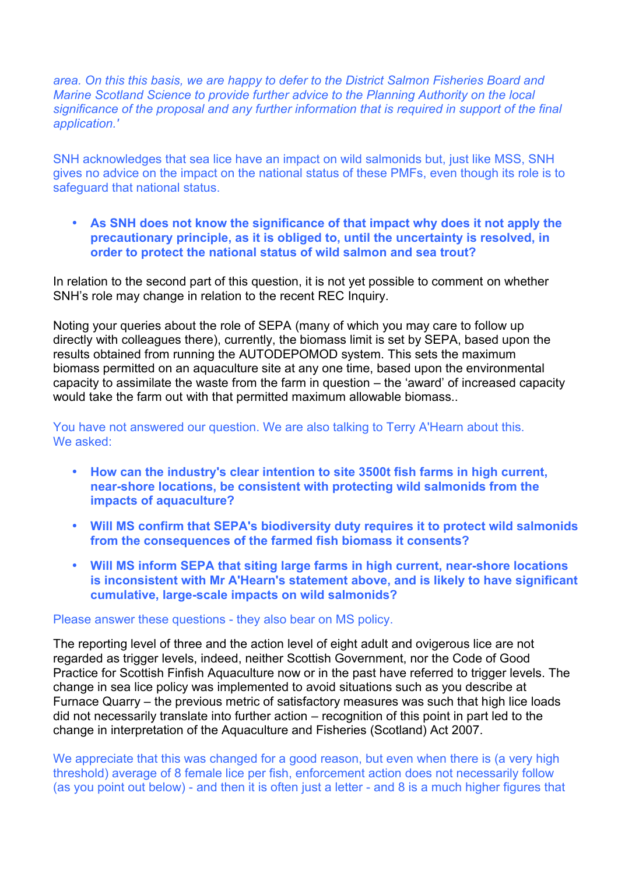*area. On this this basis, we are happy to defer to the District Salmon Fisheries Board and Marine Scotland Science to provide further advice to the Planning Authority on the local significance of the proposal and any further information that is required in support of the final application.'*

SNH acknowledges that sea lice have an impact on wild salmonids but, just like MSS, SNH gives no advice on the impact on the national status of these PMFs, even though its role is to safeguard that national status.

• **As SNH does not know the significance of that impact why does it not apply the precautionary principle, as it is obliged to, until the uncertainty is resolved, in order to protect the national status of wild salmon and sea trout?**

In relation to the second part of this question, it is not yet possible to comment on whether SNH's role may change in relation to the recent REC Inquiry.

Noting your queries about the role of SEPA (many of which you may care to follow up directly with colleagues there), currently, the biomass limit is set by SEPA, based upon the results obtained from running the AUTODEPOMOD system. This sets the maximum biomass permitted on an aquaculture site at any one time, based upon the environmental capacity to assimilate the waste from the farm in question – the 'award' of increased capacity would take the farm out with that permitted maximum allowable biomass..

You have not answered our question. We are also talking to Terry A'Hearn about this. We asked:

- **How can the industry's clear intention to site 3500t fish farms in high current, near-shore locations, be consistent with protecting wild salmonids from the impacts of aquaculture?**
- **Will MS confirm that SEPA's biodiversity duty requires it to protect wild salmonids from the consequences of the farmed fish biomass it consents?**
- **Will MS inform SEPA that siting large farms in high current, near-shore locations is inconsistent with Mr A'Hearn's statement above, and is likely to have significant cumulative, large-scale impacts on wild salmonids?**

#### Please answer these questions - they also bear on MS policy.

The reporting level of three and the action level of eight adult and ovigerous lice are not regarded as trigger levels, indeed, neither Scottish Government, nor the Code of Good Practice for Scottish Finfish Aquaculture now or in the past have referred to trigger levels. The change in sea lice policy was implemented to avoid situations such as you describe at Furnace Quarry – the previous metric of satisfactory measures was such that high lice loads did not necessarily translate into further action – recognition of this point in part led to the change in interpretation of the Aquaculture and Fisheries (Scotland) Act 2007.

We appreciate that this was changed for a good reason, but even when there is (a very high threshold) average of 8 female lice per fish, enforcement action does not necessarily follow (as you point out below) - and then it is often just a letter - and 8 is a much higher figures that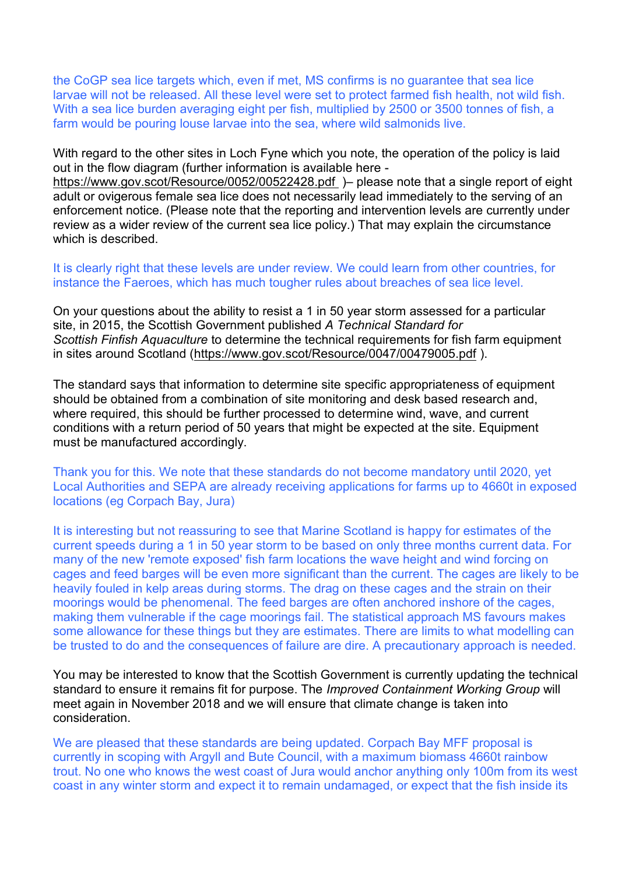the CoGP sea lice targets which, even if met, MS confirms is no guarantee that sea lice larvae will not be released. All these level were set to protect farmed fish health, not wild fish. With a sea lice burden averaging eight per fish, multiplied by 2500 or 3500 tonnes of fish, a farm would be pouring louse larvae into the sea, where wild salmonids live.

With regard to the other sites in Loch Fyne which you note, the operation of the policy is laid out in the flow diagram (further information is available here -

https://www.gov.scot/Resource/0052/00522428.pdf )– please note that a single report of eight adult or ovigerous female sea lice does not necessarily lead immediately to the serving of an enforcement notice. (Please note that the reporting and intervention levels are currently under review as a wider review of the current sea lice policy.) That may explain the circumstance which is described.

It is clearly right that these levels are under review. We could learn from other countries, for instance the Faeroes, which has much tougher rules about breaches of sea lice level.

On your questions about the ability to resist a 1 in 50 year storm assessed for a particular site, in 2015, the Scottish Government published *A Technical Standard for Scottish Finfish Aquaculture* to determine the technical requirements for fish farm equipment in sites around Scotland (https://www.gov.scot/Resource/0047/00479005.pdf ).

The standard says that information to determine site specific appropriateness of equipment should be obtained from a combination of site monitoring and desk based research and, where required, this should be further processed to determine wind, wave, and current conditions with a return period of 50 years that might be expected at the site. Equipment must be manufactured accordingly.

Thank you for this. We note that these standards do not become mandatory until 2020, yet Local Authorities and SEPA are already receiving applications for farms up to 4660t in exposed locations (eg Corpach Bay, Jura)

It is interesting but not reassuring to see that Marine Scotland is happy for estimates of the current speeds during a 1 in 50 year storm to be based on only three months current data. For many of the new 'remote exposed' fish farm locations the wave height and wind forcing on cages and feed barges will be even more significant than the current. The cages are likely to be heavily fouled in kelp areas during storms. The drag on these cages and the strain on their moorings would be phenomenal. The feed barges are often anchored inshore of the cages, making them vulnerable if the cage moorings fail. The statistical approach MS favours makes some allowance for these things but they are estimates. There are limits to what modelling can be trusted to do and the consequences of failure are dire. A precautionary approach is needed.

You may be interested to know that the Scottish Government is currently updating the technical standard to ensure it remains fit for purpose. The *Improved Containment Working Group* will meet again in November 2018 and we will ensure that climate change is taken into consideration.

We are pleased that these standards are being updated. Corpach Bay MFF proposal is currently in scoping with Argyll and Bute Council, with a maximum biomass 4660t rainbow trout. No one who knows the west coast of Jura would anchor anything only 100m from its west coast in any winter storm and expect it to remain undamaged, or expect that the fish inside its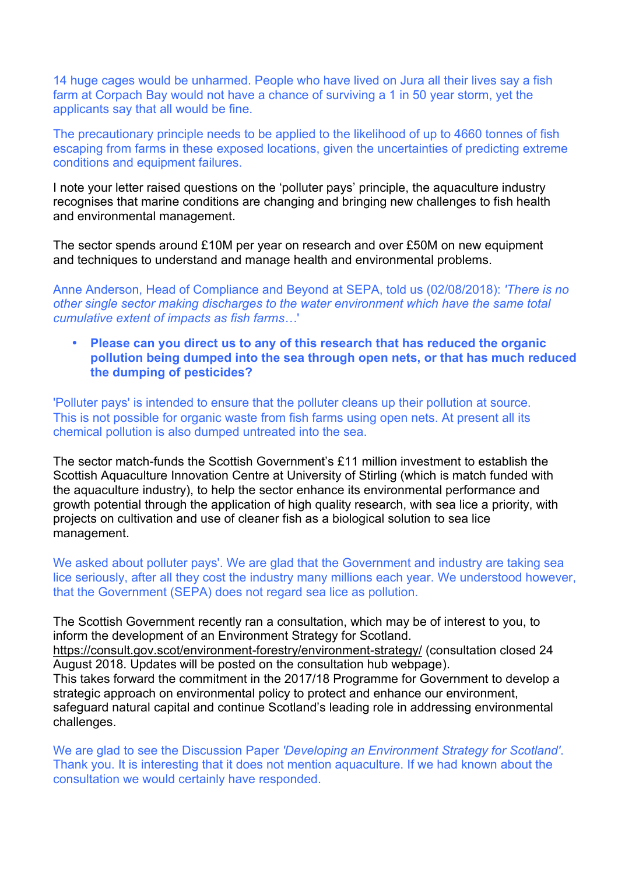14 huge cages would be unharmed. People who have lived on Jura all their lives say a fish farm at Corpach Bay would not have a chance of surviving a 1 in 50 year storm, yet the applicants say that all would be fine.

The precautionary principle needs to be applied to the likelihood of up to 4660 tonnes of fish escaping from farms in these exposed locations, given the uncertainties of predicting extreme conditions and equipment failures.

I note your letter raised questions on the 'polluter pays' principle, the aquaculture industry recognises that marine conditions are changing and bringing new challenges to fish health and environmental management.

The sector spends around £10M per year on research and over £50M on new equipment and techniques to understand and manage health and environmental problems.

Anne Anderson, Head of Compliance and Beyond at SEPA, told us (02/08/2018): *'There is no other single sector making discharges to the water environment which have the same total cumulative extent of impacts as fish farms…*'

• **Please can you direct us to any of this research that has reduced the organic pollution being dumped into the sea through open nets, or that has much reduced the dumping of pesticides?**

'Polluter pays' is intended to ensure that the polluter cleans up their pollution at source. This is not possible for organic waste from fish farms using open nets. At present all its chemical pollution is also dumped untreated into the sea.

The sector match-funds the Scottish Government's £11 million investment to establish the Scottish Aquaculture Innovation Centre at University of Stirling (which is match funded with the aquaculture industry), to help the sector enhance its environmental performance and growth potential through the application of high quality research, with sea lice a priority, with projects on cultivation and use of cleaner fish as a biological solution to sea lice management.

We asked about polluter pays'. We are glad that the Government and industry are taking sea lice seriously, after all they cost the industry many millions each year. We understood however, that the Government (SEPA) does not regard sea lice as pollution.

The Scottish Government recently ran a consultation, which may be of interest to you, to inform the development of an Environment Strategy for Scotland. https://consult.gov.scot/environment-forestry/environment-strategy/ (consultation closed 24 August 2018. Updates will be posted on the consultation hub webpage). This takes forward the commitment in the 2017/18 Programme for Government to develop a strategic approach on environmental policy to protect and enhance our environment, safeguard natural capital and continue Scotland's leading role in addressing environmental challenges.

We are glad to see the Discussion Paper *'Developing an Environment Strategy for Scotland'*. Thank you. It is interesting that it does not mention aquaculture. If we had known about the consultation we would certainly have responded.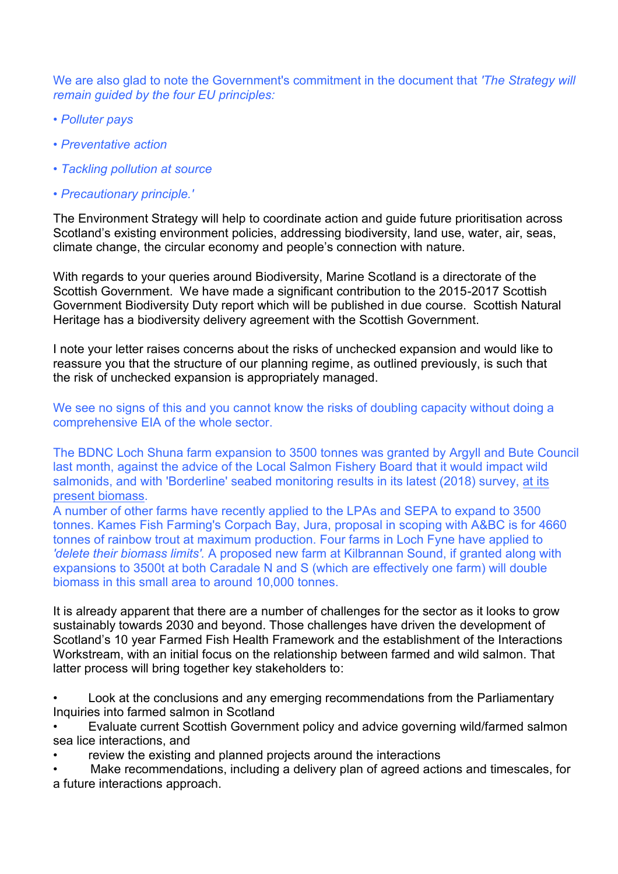We are also glad to note the Government's commitment in the document that *'The Strategy will remain guided by the four EU principles:* 

- *Polluter pays*
- *Preventative action*
- *Tackling pollution at source*
- *Precautionary principle.'*

The Environment Strategy will help to coordinate action and guide future prioritisation across Scotland's existing environment policies, addressing biodiversity, land use, water, air, seas, climate change, the circular economy and people's connection with nature.

With regards to your queries around Biodiversity, Marine Scotland is a directorate of the Scottish Government. We have made a significant contribution to the 2015-2017 Scottish Government Biodiversity Duty report which will be published in due course. Scottish Natural Heritage has a biodiversity delivery agreement with the Scottish Government.

I note your letter raises concerns about the risks of unchecked expansion and would like to reassure you that the structure of our planning regime, as outlined previously, is such that the risk of unchecked expansion is appropriately managed.

We see no signs of this and you cannot know the risks of doubling capacity without doing a comprehensive EIA of the whole sector.

The BDNC Loch Shuna farm expansion to 3500 tonnes was granted by Argyll and Bute Council last month, against the advice of the Local Salmon Fishery Board that it would impact wild salmonids, and with 'Borderline' seabed monitoring results in its latest (2018) survey, at its present biomass.

A number of other farms have recently applied to the LPAs and SEPA to expand to 3500 tonnes. Kames Fish Farming's Corpach Bay, Jura, proposal in scoping with A&BC is for 4660 tonnes of rainbow trout at maximum production. Four farms in Loch Fyne have applied to *'delete their biomass limits'.* A proposed new farm at Kilbrannan Sound, if granted along with expansions to 3500t at both Caradale N and S (which are effectively one farm) will double biomass in this small area to around 10,000 tonnes.

It is already apparent that there are a number of challenges for the sector as it looks to grow sustainably towards 2030 and beyond. Those challenges have driven the development of Scotland's 10 year Farmed Fish Health Framework and the establishment of the Interactions Workstream, with an initial focus on the relationship between farmed and wild salmon. That latter process will bring together key stakeholders to:

• Look at the conclusions and any emerging recommendations from the Parliamentary Inquiries into farmed salmon in Scotland

• Evaluate current Scottish Government policy and advice governing wild/farmed salmon sea lice interactions, and

review the existing and planned projects around the interactions

Make recommendations, including a delivery plan of agreed actions and timescales, for a future interactions approach.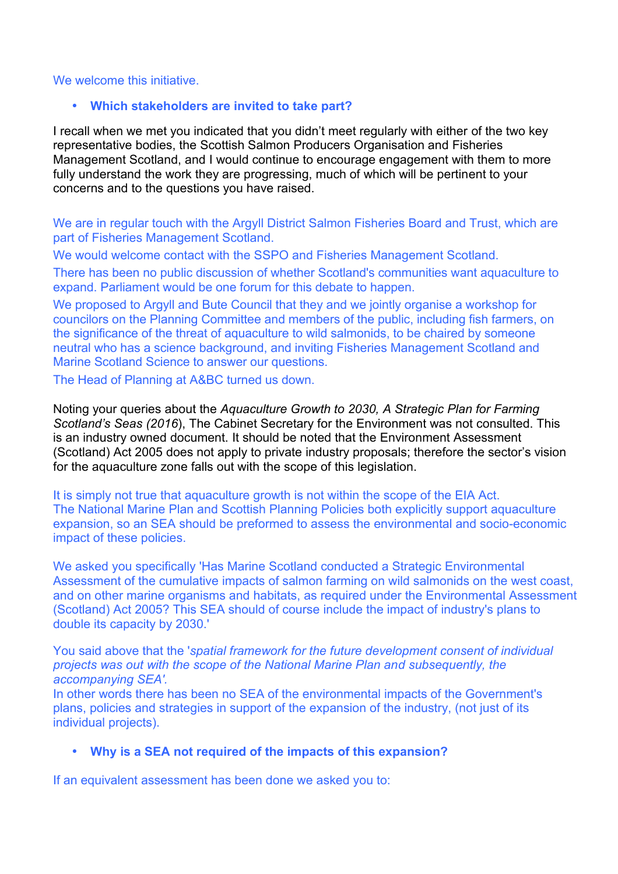#### We welcome this initiative.

### • **Which stakeholders are invited to take part?**

I recall when we met you indicated that you didn't meet regularly with either of the two key representative bodies, the Scottish Salmon Producers Organisation and Fisheries Management Scotland, and I would continue to encourage engagement with them to more fully understand the work they are progressing, much of which will be pertinent to your concerns and to the questions you have raised.

We are in regular touch with the Argyll District Salmon Fisheries Board and Trust, which are part of Fisheries Management Scotland.

We would welcome contact with the SSPO and Fisheries Management Scotland.

There has been no public discussion of whether Scotland's communities want aquaculture to expand. Parliament would be one forum for this debate to happen.

We proposed to Argyll and Bute Council that they and we jointly organise a workshop for councilors on the Planning Committee and members of the public, including fish farmers, on the significance of the threat of aquaculture to wild salmonids, to be chaired by someone neutral who has a science background, and inviting Fisheries Management Scotland and Marine Scotland Science to answer our questions.

The Head of Planning at A&BC turned us down.

Noting your queries about the *Aquaculture Growth to 2030, A Strategic Plan for Farming Scotland's Seas (2016*), The Cabinet Secretary for the Environment was not consulted. This is an industry owned document. It should be noted that the Environment Assessment (Scotland) Act 2005 does not apply to private industry proposals; therefore the sector's vision for the aquaculture zone falls out with the scope of this legislation.

It is simply not true that aquaculture growth is not within the scope of the EIA Act. The National Marine Plan and Scottish Planning Policies both explicitly support aquaculture expansion, so an SEA should be preformed to assess the environmental and socio-economic impact of these policies.

We asked you specifically 'Has Marine Scotland conducted a Strategic Environmental Assessment of the cumulative impacts of salmon farming on wild salmonids on the west coast, and on other marine organisms and habitats, as required under the Environmental Assessment (Scotland) Act 2005? This SEA should of course include the impact of industry's plans to double its capacity by 2030.'

You said above that the '*spatial framework for the future development consent of individual projects was out with the scope of the National Marine Plan and subsequently, the accompanying SEA'.* 

In other words there has been no SEA of the environmental impacts of the Government's plans, policies and strategies in support of the expansion of the industry, (not just of its individual projects).

### • **Why is a SEA not required of the impacts of this expansion?**

If an equivalent assessment has been done we asked you to: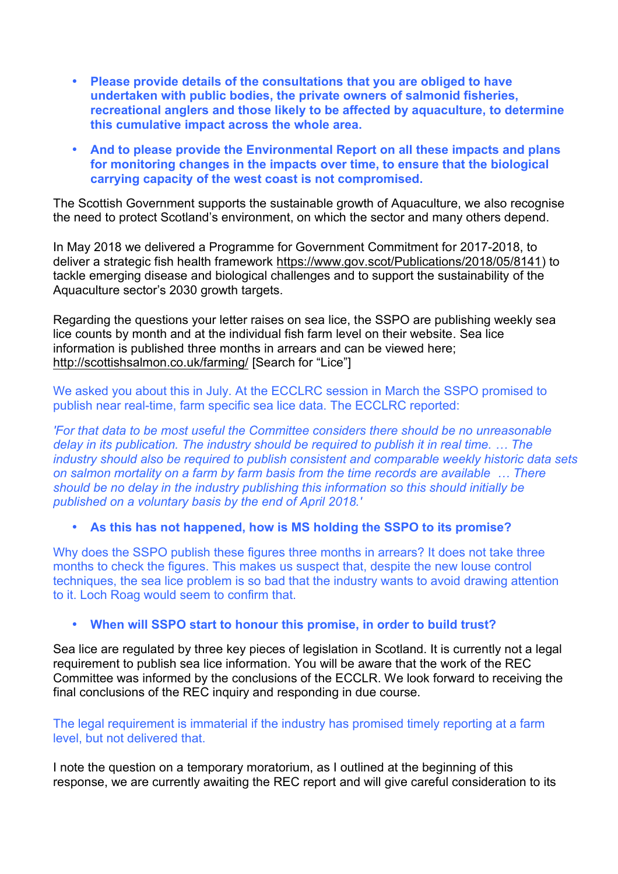- **Please provide details of the consultations that you are obliged to have undertaken with public bodies, the private owners of salmonid fisheries, recreational anglers and those likely to be affected by aquaculture, to determine this cumulative impact across the whole area.**
- **And to please provide the Environmental Report on all these impacts and plans for monitoring changes in the impacts over time, to ensure that the biological carrying capacity of the west coast is not compromised.**

The Scottish Government supports the sustainable growth of Aquaculture, we also recognise the need to protect Scotland's environment, on which the sector and many others depend.

In May 2018 we delivered a Programme for Government Commitment for 2017-2018, to deliver a strategic fish health framework https://www.gov.scot/Publications/2018/05/8141) to tackle emerging disease and biological challenges and to support the sustainability of the Aquaculture sector's 2030 growth targets.

Regarding the questions your letter raises on sea lice, the SSPO are publishing weekly sea lice counts by month and at the individual fish farm level on their website. Sea lice information is published three months in arrears and can be viewed here; http://scottishsalmon.co.uk/farming/ [Search for "Lice"]

We asked you about this in July. At the ECCLRC session in March the SSPO promised to publish near real-time, farm specific sea lice data. The ECCLRC reported:

*'For that data to be most useful the Committee considers there should be no unreasonable delay in its publication. The industry should be required to publish it in real time. … The industry should also be required to publish consistent and comparable weekly historic data sets on salmon mortality on a farm by farm basis from the time records are available … There should be no delay in the industry publishing this information so this should initially be published on a voluntary basis by the end of April 2018.'*

• **As this has not happened, how is MS holding the SSPO to its promise?** 

Why does the SSPO publish these figures three months in arrears? It does not take three months to check the figures. This makes us suspect that, despite the new louse control techniques, the sea lice problem is so bad that the industry wants to avoid drawing attention to it. Loch Roag would seem to confirm that.

# • **When will SSPO start to honour this promise, in order to build trust?**

Sea lice are regulated by three key pieces of legislation in Scotland. It is currently not a legal requirement to publish sea lice information. You will be aware that the work of the REC Committee was informed by the conclusions of the ECCLR. We look forward to receiving the final conclusions of the REC inquiry and responding in due course.

The legal requirement is immaterial if the industry has promised timely reporting at a farm level, but not delivered that.

I note the question on a temporary moratorium, as I outlined at the beginning of this response, we are currently awaiting the REC report and will give careful consideration to its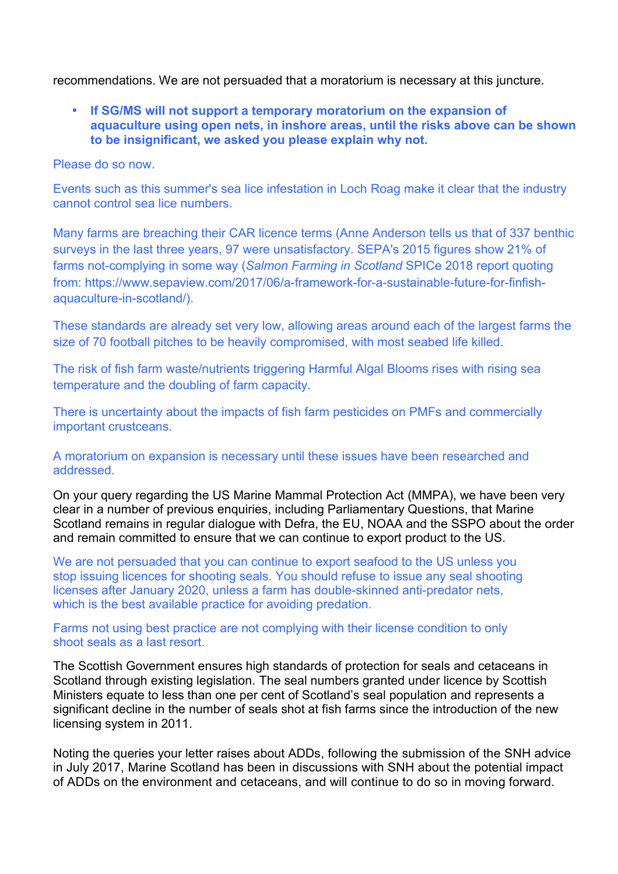recommendations. We are not persuaded that a moratorium is necessary at this juncture.

• **If SG/MS will not support a temporary moratorium on the expansion of aquaculture using open nets, in inshore areas, until the risks above can be shown to be insignificant, we asked you please explain why not.** 

Please do so now.

Events such as this summer's sea lice infestation in Loch Roag make it clear that the industry cannot control sea lice numbers.

Many farms are breaching their CAR licence terms (Anne Anderson tells us that of 337 benthic surveys in the last three years, 97 were unsatisfactory. SEPA's 2015 figures show 21% of farms not-complying in some way (*Salmon Farming in Scotland* SPICe 2018 report quoting from: https://www.sepaview.com/2017/06/a-framework-for-a-sustainable-future-for-finfishaquaculture-in-scotland/).

These standards are already set very low, allowing areas around each of the largest farms the size of 70 football pitches to be heavily compromised, with most seabed life killed.

The risk of fish farm waste/nutrients triggering Harmful Algal Blooms rises with rising sea temperature and the doubling of farm capacity.

There is uncertainty about the impacts of fish farm pesticides on PMFs and commercially important crustceans.

A moratorium on expansion is necessary until these issues have been researched and addressed.

On your query regarding the US Marine Mammal Protection Act (MMPA), we have been very clear in a number of previous enquiries, including Parliamentary Questions, that Marine Scotland remains in regular dialogue with Defra, the EU, NOAA and the SSPO about the order and remain committed to ensure that we can continue to export product to the US.

We are not persuaded that you can continue to export seafood to the US unless you stop issuing licences for shooting seals. You should refuse to issue any seal shooting licenses after January 2020, unless a farm has double-skinned anti-predator nets, which is the best available practice for avoiding predation.

Farms not using best practice are not complying with their license condition to only shoot seals as a last resort.

The Scottish Government ensures high standards of protection for seals and cetaceans in Scotland through existing legislation. The seal numbers granted under licence by Scottish Ministers equate to less than one per cent of Scotland's seal population and represents a significant decline in the number of seals shot at fish farms since the introduction of the new licensing system in 2011.

Noting the queries your letter raises about ADDs, following the submission of the SNH advice in July 2017, Marine Scotland has been in discussions with SNH about the potential impact of ADDs on the environment and cetaceans, and will continue to do so in moving forward.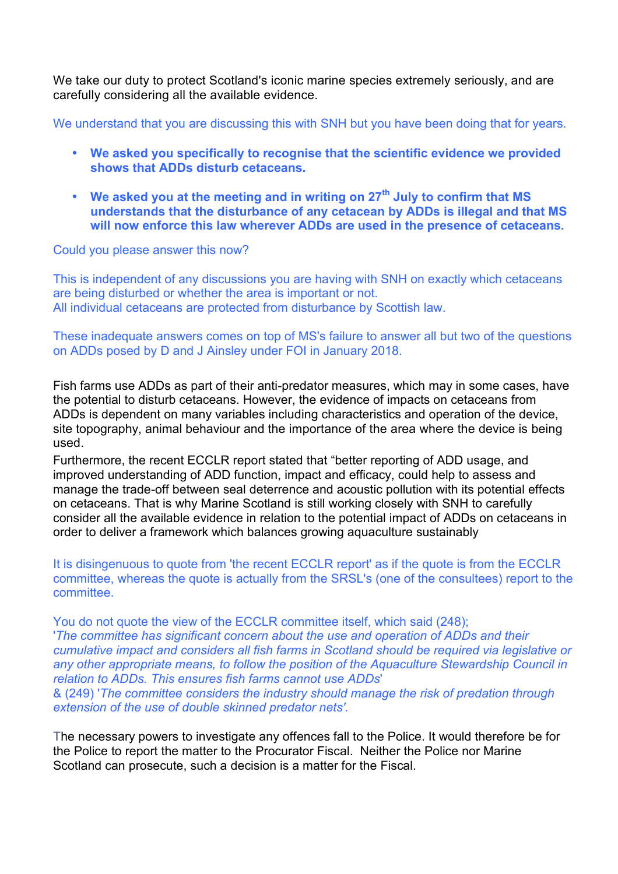We take our duty to protect Scotland's iconic marine species extremely seriously, and are carefully considering all the available evidence.

We understand that you are discussing this with SNH but you have been doing that for years.

- **We asked you specifically to recognise that the scientific evidence we provided shows that ADDs disturb cetaceans.**
- **We asked you at the meeting and in writing on 27th July to confirm that MS understands that the disturbance of any cetacean by ADDs is illegal and that MS will now enforce this law wherever ADDs are used in the presence of cetaceans.**

### Could you please answer this now?

This is independent of any discussions you are having with SNH on exactly which cetaceans are being disturbed or whether the area is important or not. All individual cetaceans are protected from disturbance by Scottish law.

### These inadequate answers comes on top of MS's failure to answer all but two of the questions on ADDs posed by D and J Ainsley under FOI in January 2018.

Fish farms use ADDs as part of their anti-predator measures, which may in some cases, have the potential to disturb cetaceans. However, the evidence of impacts on cetaceans from ADDs is dependent on many variables including characteristics and operation of the device, site topography, animal behaviour and the importance of the area where the device is being used.

Furthermore, the recent ECCLR report stated that "better reporting of ADD usage, and improved understanding of ADD function, impact and efficacy, could help to assess and manage the trade-off between seal deterrence and acoustic pollution with its potential effects on cetaceans. That is why Marine Scotland is still working closely with SNH to carefully consider all the available evidence in relation to the potential impact of ADDs on cetaceans in order to deliver a framework which balances growing aquaculture sustainably

It is disingenuous to quote from 'the recent ECCLR report' as if the quote is from the ECCLR committee, whereas the quote is actually from the SRSL's (one of the consultees) report to the committee.

You do not quote the view of the ECCLR committee itself, which said (248); '*The committee has significant concern about the use and operation of ADDs and their cumulative impact and considers all fish farms in Scotland should be required via legislative or any other appropriate means, to follow the position of the Aquaculture Stewardship Council in relation to ADDs. This ensures fish farms cannot use ADDs*' & (249) '*The committee considers the industry should manage the risk of predation through extension of the use of double skinned predator nets'.*

The necessary powers to investigate any offences fall to the Police. It would therefore be for the Police to report the matter to the Procurator Fiscal. Neither the Police nor Marine Scotland can prosecute, such a decision is a matter for the Fiscal.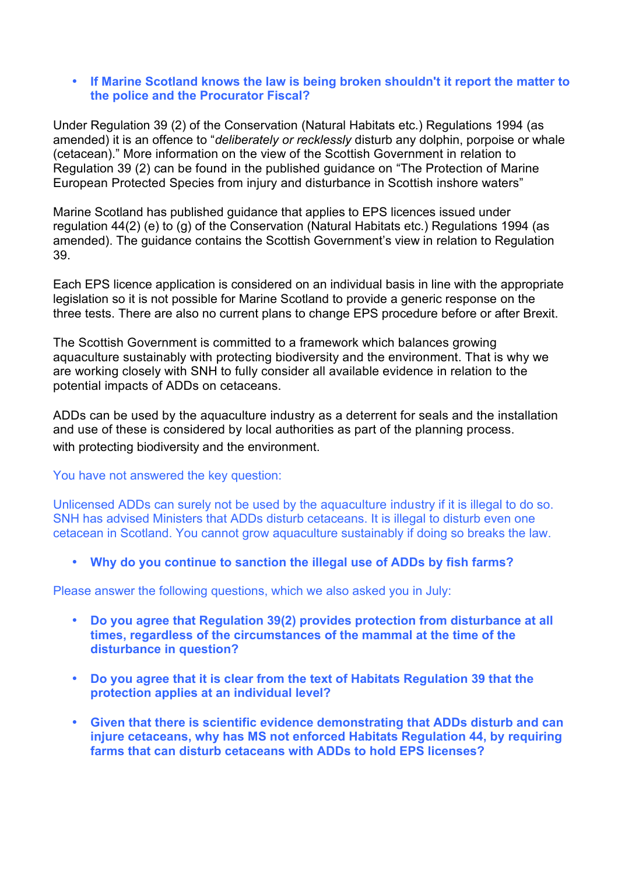### • **If Marine Scotland knows the law is being broken shouldn't it report the matter to the police and the Procurator Fiscal?**

Under Regulation 39 (2) of the Conservation (Natural Habitats etc.) Regulations 1994 (as amended) it is an offence to "*deliberately or recklessly* disturb any dolphin, porpoise or whale (cetacean)." More information on the view of the Scottish Government in relation to Regulation 39 (2) can be found in the published guidance on "The Protection of Marine European Protected Species from injury and disturbance in Scottish inshore waters"

Marine Scotland has published guidance that applies to EPS licences issued under regulation 44(2) (e) to (g) of the Conservation (Natural Habitats etc.) Regulations 1994 (as amended). The guidance contains the Scottish Government's view in relation to Regulation 39.

Each EPS licence application is considered on an individual basis in line with the appropriate legislation so it is not possible for Marine Scotland to provide a generic response on the three tests. There are also no current plans to change EPS procedure before or after Brexit.

The Scottish Government is committed to a framework which balances growing aquaculture sustainably with protecting biodiversity and the environment. That is why we are working closely with SNH to fully consider all available evidence in relation to the potential impacts of ADDs on cetaceans.

ADDs can be used by the aquaculture industry as a deterrent for seals and the installation and use of these is considered by local authorities as part of the planning process. with protecting biodiversity and the environment.

You have not answered the key question:

Unlicensed ADDs can surely not be used by the aquaculture industry if it is illegal to do so. SNH has advised Ministers that ADDs disturb cetaceans. It is illegal to disturb even one cetacean in Scotland. You cannot grow aquaculture sustainably if doing so breaks the law.

• **Why do you continue to sanction the illegal use of ADDs by fish farms?** 

Please answer the following questions, which we also asked you in July:

- **Do you agree that Regulation 39(2) provides protection from disturbance at all times, regardless of the circumstances of the mammal at the time of the disturbance in question?**
- **Do you agree that it is clear from the text of Habitats Regulation 39 that the protection applies at an individual level?**
- **Given that there is scientific evidence demonstrating that ADDs disturb and can injure cetaceans, why has MS not enforced Habitats Regulation 44, by requiring farms that can disturb cetaceans with ADDs to hold EPS licenses?**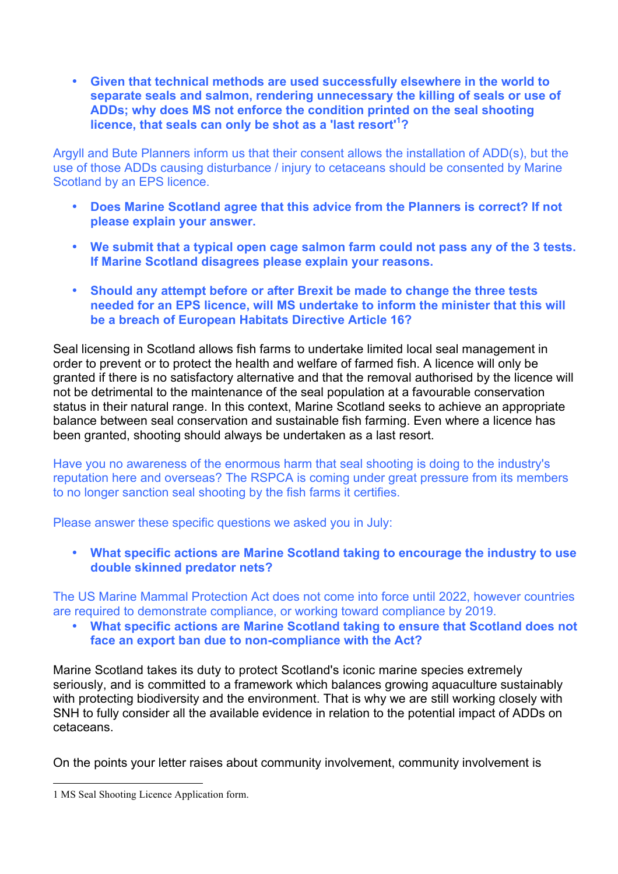• **Given that technical methods are used successfully elsewhere in the world to separate seals and salmon, rendering unnecessary the killing of seals or use of ADDs; why does MS not enforce the condition printed on the seal shooting licence, that seals can only be shot as a 'last resort'<sup>1</sup> ?**

Argyll and Bute Planners inform us that their consent allows the installation of ADD(s), but the use of those ADDs causing disturbance / injury to cetaceans should be consented by Marine Scotland by an EPS licence.

- **Does Marine Scotland agree that this advice from the Planners is correct? If not please explain your answer.**
- **We submit that a typical open cage salmon farm could not pass any of the 3 tests. If Marine Scotland disagrees please explain your reasons.**
- **Should any attempt before or after Brexit be made to change the three tests needed for an EPS licence, will MS undertake to inform the minister that this will be a breach of European Habitats Directive Article 16?**

Seal licensing in Scotland allows fish farms to undertake limited local seal management in order to prevent or to protect the health and welfare of farmed fish. A licence will only be granted if there is no satisfactory alternative and that the removal authorised by the licence will not be detrimental to the maintenance of the seal population at a favourable conservation status in their natural range. In this context, Marine Scotland seeks to achieve an appropriate balance between seal conservation and sustainable fish farming. Even where a licence has been granted, shooting should always be undertaken as a last resort.

Have you no awareness of the enormous harm that seal shooting is doing to the industry's reputation here and overseas? The RSPCA is coming under great pressure from its members to no longer sanction seal shooting by the fish farms it certifies.

Please answer these specific questions we asked you in July:

• **What specific actions are Marine Scotland taking to encourage the industry to use double skinned predator nets?**

The US Marine Mammal Protection Act does not come into force until 2022, however countries are required to demonstrate compliance, or working toward compliance by 2019.

• **What specific actions are Marine Scotland taking to ensure that Scotland does not face an export ban due to non-compliance with the Act?**

Marine Scotland takes its duty to protect Scotland's iconic marine species extremely seriously, and is committed to a framework which balances growing aquaculture sustainably with protecting biodiversity and the environment. That is why we are still working closely with SNH to fully consider all the available evidence in relation to the potential impact of ADDs on cetaceans.

On the points your letter raises about community involvement, community involvement is

 

<sup>1</sup> MS Seal Shooting Licence Application form.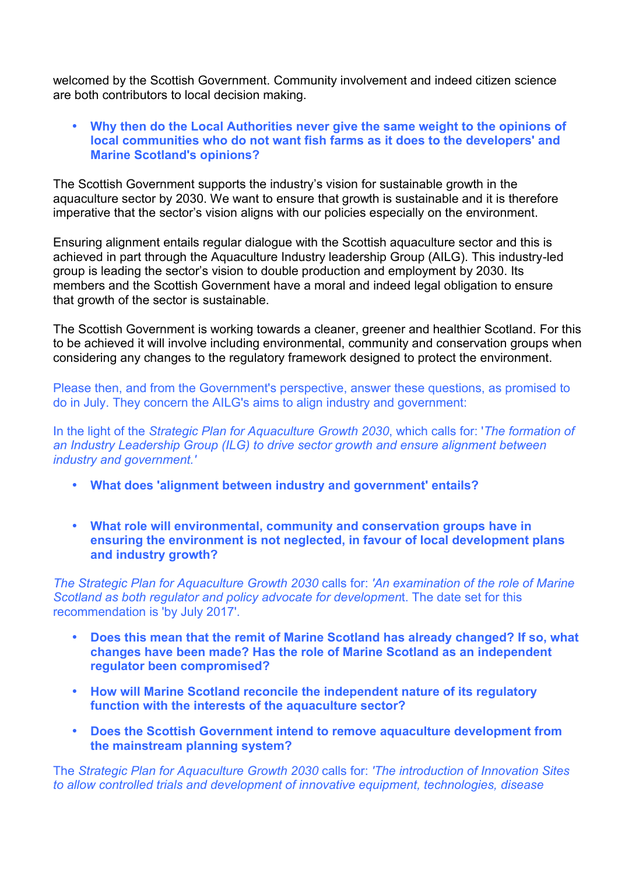welcomed by the Scottish Government. Community involvement and indeed citizen science are both contributors to local decision making.

### • **Why then do the Local Authorities never give the same weight to the opinions of local communities who do not want fish farms as it does to the developers' and Marine Scotland's opinions?**

The Scottish Government supports the industry's vision for sustainable growth in the aquaculture sector by 2030. We want to ensure that growth is sustainable and it is therefore imperative that the sector's vision aligns with our policies especially on the environment.

Ensuring alignment entails regular dialogue with the Scottish aquaculture sector and this is achieved in part through the Aquaculture Industry leadership Group (AILG). This industry-led group is leading the sector's vision to double production and employment by 2030. Its members and the Scottish Government have a moral and indeed legal obligation to ensure that growth of the sector is sustainable.

The Scottish Government is working towards a cleaner, greener and healthier Scotland. For this to be achieved it will involve including environmental, community and conservation groups when considering any changes to the regulatory framework designed to protect the environment.

Please then, and from the Government's perspective, answer these questions, as promised to do in July. They concern the AILG's aims to align industry and government:

In the light of the *Strategic Plan for Aquaculture Growth 2030*, which calls for: '*The formation of an Industry Leadership Group (ILG) to drive sector growth and ensure alignment between industry and government.'*

- **What does 'alignment between industry and government' entails?**
- **What role will environmental, community and conservation groups have in ensuring the environment is not neglected, in favour of local development plans and industry growth?**

*The Strategic Plan for Aquaculture Growth 2030* calls for: *'An examination of the role of Marine Scotland as both regulator and policy advocate for developmen*t. The date set for this recommendation is 'by July 2017'.

- **Does this mean that the remit of Marine Scotland has already changed? If so, what changes have been made? Has the role of Marine Scotland as an independent regulator been compromised?**
- **How will Marine Scotland reconcile the independent nature of its regulatory function with the interests of the aquaculture sector?**
- **Does the Scottish Government intend to remove aquaculture development from the mainstream planning system?**

The *Strategic Plan for Aquaculture Growth 2030* calls for: *'The introduction of Innovation Sites to allow controlled trials and development of innovative equipment, technologies, disease*